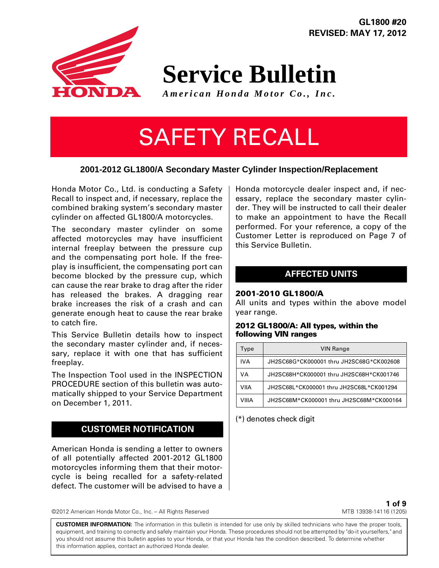**GL1800 #20 REVISED: MAY 17, 2012**

# **Service Bulletin**

*American Honda Motor Co., Inc.*

# SAFETY RECALL

# **2001-2012 GL1800/A Secondary Master Cylinder Inspection/Replacement**

Honda Motor Co., Ltd. is conducting a Safety Recall to inspect and, if necessary, replace the combined braking system's secondary master cylinder on affected GL1800/A motorcycles.

The secondary master cylinder on some affected motorcycles may have insufficient internal freeplay between the pressure cup and the compensating port hole. If the freeplay is insufficient, the compensating port can become blocked by the pressure cup, which can cause the rear brake to drag after the rider has released the brakes. A dragging rear brake increases the risk of a crash and can generate enough heat to cause the rear brake to catch fire.

This Service Bulletin details how to inspect the secondary master cylinder and, if necessary, replace it with one that has sufficient freeplay.

The Inspection Tool used in the INSPECTION PROCEDURE section of this bulletin was automatically shipped to your Service Department on December 1, 2011.

# **CUSTOMER NOTIFICATION**

American Honda is sending a letter to owners of all potentially affected 2001-2012 GL1800 motorcycles informing them that their motorcycle is being recalled for a safety-related defect. The customer will be advised to have a Honda motorcycle dealer inspect and, if necessary, replace the secondary master cylinder. They will be instructed to call their dealer to make an appointment to have the Recall performed. For your reference, a copy of the Customer Letter is reproduced on Page 7 of this Service Bulletin.

# **AFFECTED UNITS**

### **2001-2010 GL1800/A**

All units and types within the above model year range.

#### **2012 GL1800/A: All types, within the following VIN ranges**

| Type  | <b>VIN Range</b>                         |
|-------|------------------------------------------|
| IVA   | JH2SC68G*CK000001 thru JH2SC68G*CK002608 |
| VA    | JH2SC68H*CK000001 thru JH2SC68H*CK001746 |
| VIIA  | JH2SC68L*CK000001 thru JH2SC68L*CK001294 |
| VIIIA | JH2SC68M*CK000001 thru JH2SC68M*CK000164 |

(\*) denotes check digit

©2012 American Honda Motor Co., Inc. – All Rights Reserved

**1 of 9** MTB 13938-14116 (1205)

**CUSTOMER INFORMATION:** The information in this bulletin is intended for use only by skilled technicians who have the proper tools, equipment, and training to correctly and safely maintain your Honda. These procedures should not be attempted by "do-it yourselfers," and you should not assume this bulletin applies to your Honda, or that your Honda has the condition described. To determine whether this information applies, contact an authorized Honda dealer.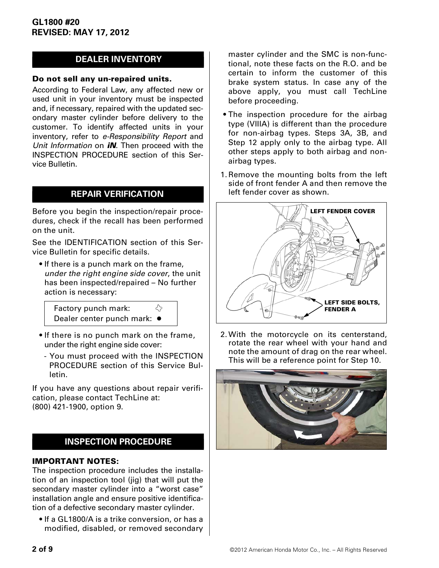# **DEALER INVENTORY**

#### **Do not sell any un-repaired units.**

According to Federal Law, any affected new or used unit in your inventory must be inspected and, if necessary, repaired with the updated secondary master cylinder before delivery to the customer. To identify affected units in your inventory, refer to *e-Responsibility Report* and *Unit Information* on *iN*. Then proceed with the INSPECTION PROCEDURE section of this Service Bulletin.

## **REPAIR VERIFICATION**

Before you begin the inspection/repair procedures, check if the recall has been performed on the unit.

See the IDENTIFICATION section of this Service Bulletin for specific details.

• If there is a punch mark on the frame, *under the right engine side cover*, the unit has been inspected/repaired – No further action is necessary:

✧ Factory punch mark: Dealer center punch mark: ●

- If there is no punch mark on the frame, under the right engine side cover:
	- You must proceed with the INSPECTION PROCEDURE section of this Service Bulletin.

If you have any questions about repair verification, please contact TechLine at: (800) 421-1900, option 9.

# **INSPECTION PROCEDURE**

### **IMPORTANT NOTES:**

The inspection procedure includes the installation of an inspection tool (jig) that will put the secondary master cylinder into a "worst case" installation angle and ensure positive identification of a defective secondary master cylinder.

• If a GL1800/A is a trike conversion, or has a modified, disabled, or removed secondary master cylinder and the SMC is non-functional, note these facts on the R.O. and be certain to inform the customer of this brake system status. In case any of the above apply, you must call TechLine before proceeding.

- The inspection procedure for the airbag type (VIIIA) is different than the procedure for non-airbag types. Steps 3A, 3B, and Step 12 apply only to the airbag type. All other steps apply to both airbag and nonairbag types.
- 1.Remove the mounting bolts from the left side of front fender A and then remove the left fender cover as shown.



2.With the motorcycle on its centerstand, rotate the rear wheel with your hand and note the amount of drag on the rear wheel. This will be a reference point for Step 10.

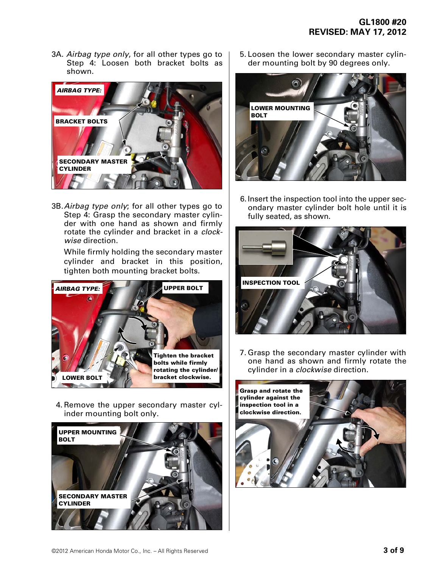3A. *Airbag type only*, for all other types go to Step 4: Loosen both bracket bolts as shown.



3B. *Airbag type only*; for all other types go to Step 4: Grasp the secondary master cylinder with one hand as shown and firmly rotate the cylinder and bracket in a *clockwise* direction.

While firmly holding the secondary master cylinder and bracket in this position, tighten both mounting bracket bolts.



4.Remove the upper secondary master cylinder mounting bolt only.



5.Loosen the lower secondary master cylinder mounting bolt by 90 degrees only.



6.Insert the inspection tool into the upper secondary master cylinder bolt hole until it is fully seated, as shown.



7.Grasp the secondary master cylinder with one hand as shown and firmly rotate the cylinder in a *clockwise* direction.

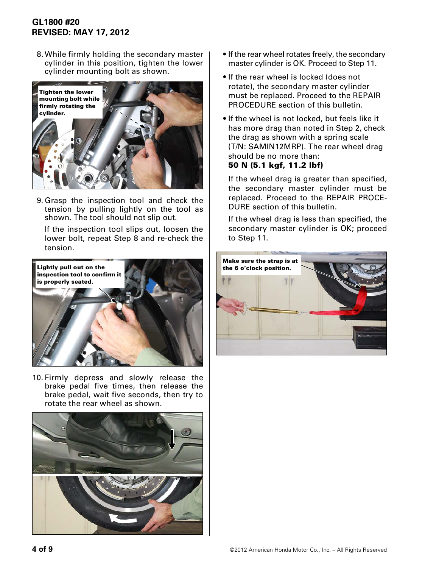# **GL1800 #20 REVISED: MAY 17, 2012**

8.While firmly holding the secondary master cylinder in this position, tighten the lower cylinder mounting bolt as shown.



9.Grasp the inspection tool and check the tension by pulling lightly on the tool as shown. The tool should not slip out.

If the inspection tool slips out, loosen the lower bolt, repeat Step 8 and re-check the tension.



10.Firmly depress and slowly release the brake pedal five times, then release the brake pedal, wait five seconds, then try to rotate the rear wheel as shown.



- If the rear wheel rotates freely, the secondary master cylinder is OK. Proceed to Step 11.
- If the rear wheel is locked (does not rotate), the secondary master cylinder must be replaced. Proceed to the REPAIR PROCEDURE section of this bulletin.
- If the wheel is not locked, but feels like it has more drag than noted in Step 2, check the drag as shown with a spring scale (T/N: SAMIN12MRP). The rear wheel drag should be no more than: **50 N (5.1 kgf, 11.2 lbf)**

If the wheel drag is greater than specified, the secondary master cylinder must be replaced. Proceed to the REPAIR PROCE-DURE section of this bulletin.

If the wheel drag is less than specified, the secondary master cylinder is OK; proceed to Step 11.

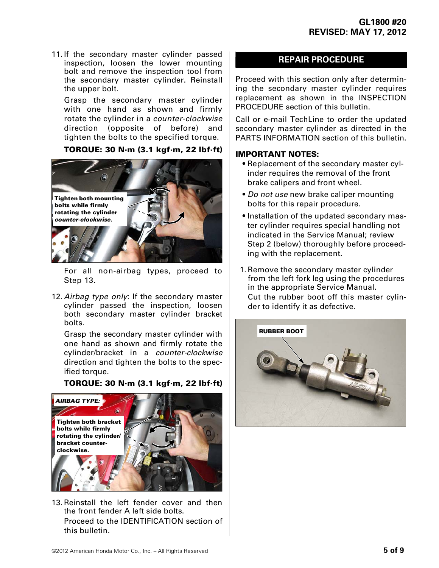11.If the secondary master cylinder passed inspection, loosen the lower mounting bolt and remove the inspection tool from the secondary master cylinder. Reinstall the upper bolt.

Grasp the secondary master cylinder with one hand as shown and firmly rotate the cylinder in a *counter-clockwise* direction (opposite of before) and tighten the bolts to the specified torque.

## **TORQUE: 30 N·m (3.1 kgf·m, 22 lbf·ft)**



For all non-airbag types, proceed to Step 13.

12. *Airbag type only*: If the secondary master cylinder passed the inspection, loosen both secondary master cylinder bracket bolts.

Grasp the secondary master cylinder with one hand as shown and firmly rotate the cylinder/bracket in a *counter-clockwise* direction and tighten the bolts to the specified torque.

### **TORQUE: 30 N·m (3.1 kgf·m, 22 lbf·ft)**



13.Reinstall the left fender cover and then the front fender A left side bolts. Proceed to the IDENTIFICATION section of this bulletin.

## **REPAIR PROCEDURE**

Proceed with this section only after determining the secondary master cylinder requires replacement as shown in the INSPECTION PROCEDURE section of this bulletin.

Call or e-mail TechLine to order the updated secondary master cylinder as directed in the PARTS INFORMATION section of this bulletin.

### **IMPORTANT NOTES:**

- Replacement of the secondary master cylinder requires the removal of the front brake calipers and front wheel.
- *Do not use* new brake caliper mounting bolts for this repair procedure.
- Installation of the updated secondary master cylinder requires special handling not indicated in the Service Manual; review Step 2 (below) thoroughly before proceeding with the replacement.
- 1.Remove the secondary master cylinder from the left fork leg using the procedures in the appropriate Service Manual. Cut the rubber boot off this master cylinder to identify it as defective.

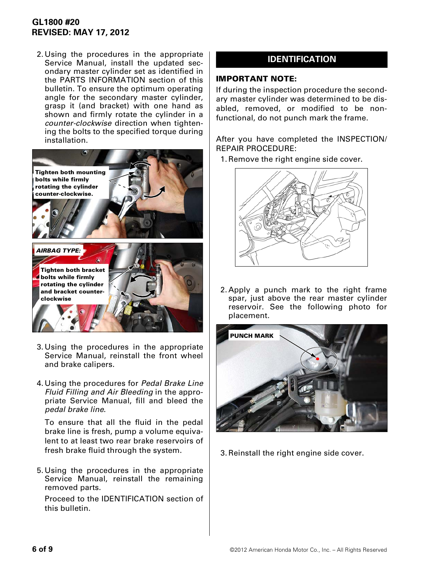# **GL1800 #20 REVISED: MAY 17, 2012**

2.Using the procedures in the appropriate Service Manual, install the updated secondary master cylinder set as identified in the PARTS INFORMATION section of this bulletin. To ensure the optimum operating angle for the secondary master cylinder, grasp it (and bracket) with one hand as shown and firmly rotate the cylinder in a *counter-clockwise* direction when tightening the bolts to the specified torque during installation.



- 3.Using the procedures in the appropriate Service Manual, reinstall the front wheel and brake calipers.
- 4.Using the procedures for *Pedal Brake Line Fluid Filling and Air Bleeding* in the appropriate Service Manual, fill and bleed the *pedal brake line*.

To ensure that all the fluid in the pedal brake line is fresh, pump a volume equivalent to at least two rear brake reservoirs of fresh brake fluid through the system.

5.Using the procedures in the appropriate Service Manual, reinstall the remaining removed parts.

Proceed to the IDENTIFICATION section of this bulletin.

# **IDENTIFICATION**

#### **IMPORTANT NOTE:**

If during the inspection procedure the secondary master cylinder was determined to be disabled, removed, or modified to be nonfunctional, do not punch mark the frame.

After you have completed the INSPECTION/ REPAIR PROCEDURE:

1.Remove the right engine side cover.



2.Apply a punch mark to the right frame spar, just above the rear master cylinder reservoir. See the following photo for placement.



3.Reinstall the right engine side cover.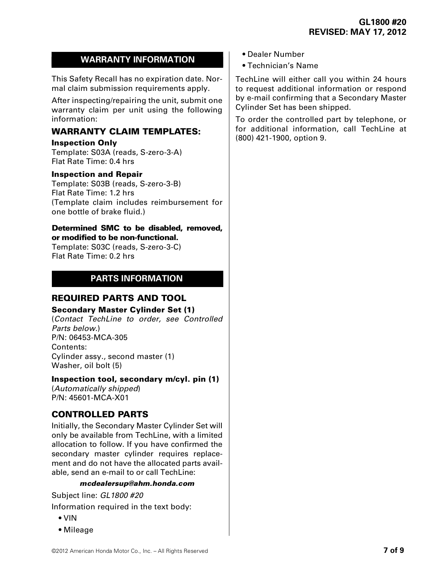# **WARRANTY INFORMATION**

This Safety Recall has no expiration date. Normal claim submission requirements apply.

After inspecting/repairing the unit, submit one warranty claim per unit using the following information:

# **WARRANTY CLAIM TEMPLATES:**

**Inspection Only**

Template: S03A (reads, S-zero-3-A) Flat Rate Time: 0.4 hrs

#### **Inspection and Repair**

Template: S03B (reads, S-zero-3-B) Flat Rate Time: 1.2 hrs (Template claim includes reimbursement for one bottle of brake fluid.)

#### **Determined SMC to be disabled, removed, or modified to be non-functional.**

Template: S03C (reads, S-zero-3-C) Flat Rate Time: 0.2 hrs

# **PARTS INFORMATION**

## **REQUIRED PARTS AND TOOL**

### **Secondary Master Cylinder Set (1)**

(*Contact TechLine to order, see Controlled Parts below.*) P/N: 06453-MCA-305 Contents: Cylinder assy., second master (1) Washer, oil bolt (5)

### **Inspection tool, secondary m/cyl. pin (1)**

(*Automatically shipped*) P/N: 45601-MCA-X01

# **CONTROLLED PARTS**

Initially, the Secondary Master Cylinder Set will only be available from TechLine, with a limited allocation to follow. If you have confirmed the secondary master cylinder requires replacement and do not have the allocated parts available, send an e-mail to or call TechLine:

### *mcdealersup@ahm.honda.com*

Subject line: *GL1800 #20*

Information required in the text body:

- VIN
- Mileage
- Dealer Number
- Technician's Name

TechLine will either call you within 24 hours to request additional information or respond by e-mail confirming that a Secondary Master Cylinder Set has been shipped.

To order the controlled part by telephone, or for additional information, call TechLine at (800) 421-1900, option 9.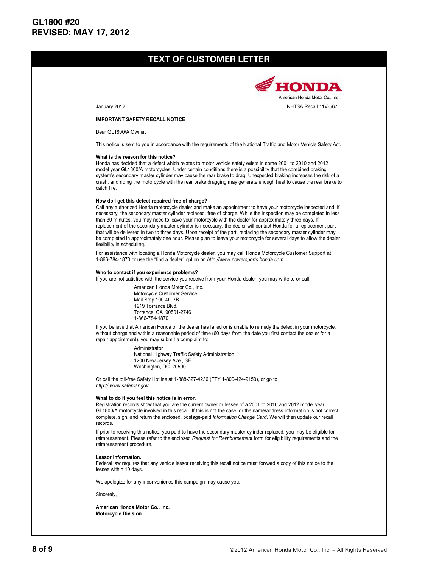## **TEXT OF CUSTOMER LETTER**

#### **IMPORTANT SAFETY RECALL NOTICE**

Dear GL1800/A Owner:

This notice is sent to you in accordance with the requirements of the National Traffic and Motor Vehicle Safety Act.

#### **What is the reason for this notice?**

Honda has decided that a defect which relates to motor vehicle safety exists in some 2001 to 2010 and 2012 model year GL1800/A motorcycles. Under certain conditions there is a possibility that the combined braking system's secondary master cylinder may cause the rear brake to drag. Unexpected braking increases the risk of a crash, and riding the motorcycle with the rear brake dragging may generate enough heat to cause the rear brake to catch fire.

#### **How do I get this defect repaired free of charge?**

Call any authorized Honda motorcycle dealer and make an appointment to have your motorcycle inspected and, if necessary, the secondary master cylinder replaced, free of charge. While the inspection may be completed in less than 30 minutes, you may need to leave your motorcycle with the dealer for approximately three days. If replacement of the secondary master cylinder is necessary, the dealer will contact Honda for a replacement part that will be delivered in two to three days. Upon receipt of the part, replacing the secondary master cylinder may be completed in approximately one hour. Please plan to leave your motorcycle for several days to allow the dealer flexibility in scheduling.

For assistance with locating a Honda Motorcycle dealer, you may call Honda Motorcycle Customer Support at 1-866-784-1870 or use the "find a dealer" option on *http://www.powersports.honda.com*

#### **Who to contact if you experience problems?**

If you are not satisfied with the service you receive from your Honda dealer, you may write to or call:

American Honda Motor Co., Inc. Motorcycle Customer Service Mail Stop 100-4C-7B 1919 Torrance Blvd. Torrance, CA 90501-2746 1-866-784-1870

If you believe that American Honda or the dealer has failed or is unable to remedy the defect in your motorcycle, without charge and within a reasonable period of time (60 days from the date you first contact the dealer for a repair appointment), you may submit a complaint to:

> Administrator National Highway Traffic Safety Administration 1200 New Jersey Ave., SE Washington, DC 20590

Or call the toll-free Safety Hotline at 1-888-327-4236 (TTY 1-800-424-9153), or go to *http:// www.safercar.gov*

#### **What to do if you feel this notice is in error.**

Registration records show that you are the current owner or lessee of a 2001 to 2010 and 2012 model year GL1800/A motorcycle involved in this recall. If this is not the case, or the name/address information is not correct, complete, sign, and return the enclosed, postage-paid *Information Change Card*. We will then update our recall records.

If prior to receiving this notice, you paid to have the secondary master cylinder replaced, you may be eligible for reimbursement. Please refer to the enclosed *Request for Reimbursement* form for eligibility requirements and the reimbursement procedure.

#### **Lessor Information.**

Federal law requires that any vehicle lessor receiving this recall notice must forward a copy of this notice to the lessee within 10 days.

We apologize for any inconvenience this campaign may cause you.

Sincerely,

**American Honda Motor Co., Inc. Motorcycle Division**